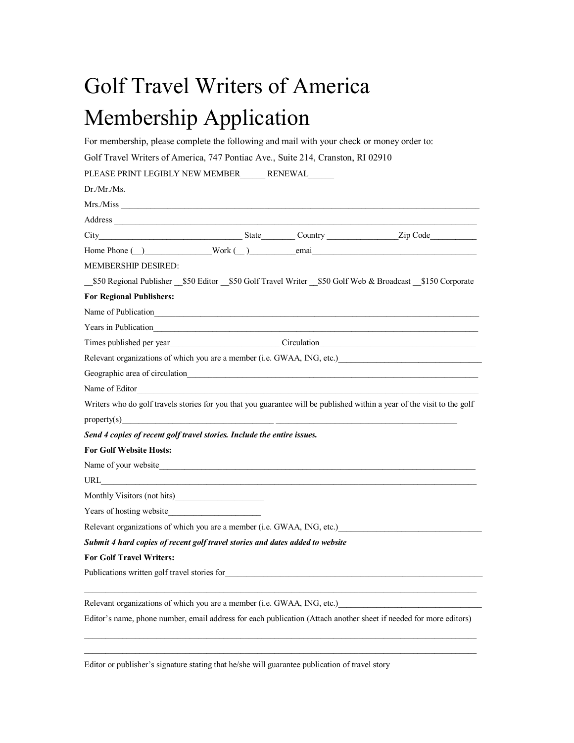## Golf Travel Writers of America Membership Application

For membership, please complete the following and mail with your check or money order to:

| Golf Travel Writers of America, 747 Pontiac Ave., Suite 214, Cranston, RI 02910                                                                                                                                                               |  |  |  |  |
|-----------------------------------------------------------------------------------------------------------------------------------------------------------------------------------------------------------------------------------------------|--|--|--|--|
| PLEASE PRINT LEGIBLY NEW MEMBER RENEWAL                                                                                                                                                                                                       |  |  |  |  |
| $Dr.Mr/Ms$ .                                                                                                                                                                                                                                  |  |  |  |  |
|                                                                                                                                                                                                                                               |  |  |  |  |
|                                                                                                                                                                                                                                               |  |  |  |  |
|                                                                                                                                                                                                                                               |  |  |  |  |
| Home Phone ( ) Work ( ) email email                                                                                                                                                                                                           |  |  |  |  |
| <b>MEMBERSHIP DESIRED:</b>                                                                                                                                                                                                                    |  |  |  |  |
| _\$50 Regional Publisher _\$50 Editor _\$50 Golf Travel Writer _\$50 Golf Web & Broadcast _\$150 Corporate                                                                                                                                    |  |  |  |  |
| <b>For Regional Publishers:</b>                                                                                                                                                                                                               |  |  |  |  |
|                                                                                                                                                                                                                                               |  |  |  |  |
|                                                                                                                                                                                                                                               |  |  |  |  |
|                                                                                                                                                                                                                                               |  |  |  |  |
| Relevant organizations of which you are a member (i.e. GWAA, ING, etc.)<br>1992                                                                                                                                                               |  |  |  |  |
| Geographic area of circulation<br><u>Examples</u> 2014<br>Contained a set of circulation<br>Contained a set of circulation<br>Contained a set of circulation<br>Contained a set of containing the set of containing the set of containing the |  |  |  |  |
| Name of Editor                                                                                                                                                                                                                                |  |  |  |  |
| Writers who do golf travels stories for you that you guarantee will be published within a year of the visit to the golf                                                                                                                       |  |  |  |  |
| property(s)                                                                                                                                                                                                                                   |  |  |  |  |
| Send 4 copies of recent golf travel stories. Include the entire issues.                                                                                                                                                                       |  |  |  |  |
| <b>For Golf Website Hosts:</b>                                                                                                                                                                                                                |  |  |  |  |
| Name of your website                                                                                                                                                                                                                          |  |  |  |  |
|                                                                                                                                                                                                                                               |  |  |  |  |
|                                                                                                                                                                                                                                               |  |  |  |  |
| Years of hosting website                                                                                                                                                                                                                      |  |  |  |  |
| Relevant organizations of which you are a member (i.e. GWAA, ING, etc.)                                                                                                                                                                       |  |  |  |  |
| Submit 4 hard copies of recent golf travel stories and dates added to website                                                                                                                                                                 |  |  |  |  |
| <b>For Golf Travel Writers:</b>                                                                                                                                                                                                               |  |  |  |  |
| Publications written golf travel stories for example and the state of the state of the state of the state of the state of the state of the state of the state of the state of the state of the state of the state of the state                |  |  |  |  |
| Relevant organizations of which you are a member (i.e. GWAA, ING, etc.)<br>and the contract or set of which you are a member (i.e. GWAA, ING, etc.)                                                                                           |  |  |  |  |
| Editor's name, phone number, email address for each publication (Attach another sheet if needed for more editors)                                                                                                                             |  |  |  |  |

 $\mathcal{L}_\mathcal{L} = \mathcal{L}_\mathcal{L} = \mathcal{L}_\mathcal{L} = \mathcal{L}_\mathcal{L} = \mathcal{L}_\mathcal{L} = \mathcal{L}_\mathcal{L} = \mathcal{L}_\mathcal{L} = \mathcal{L}_\mathcal{L} = \mathcal{L}_\mathcal{L} = \mathcal{L}_\mathcal{L} = \mathcal{L}_\mathcal{L} = \mathcal{L}_\mathcal{L} = \mathcal{L}_\mathcal{L} = \mathcal{L}_\mathcal{L} = \mathcal{L}_\mathcal{L} = \mathcal{L}_\mathcal{L} = \mathcal{L}_\mathcal{L}$  $\mathcal{L}_\mathcal{L} = \mathcal{L}_\mathcal{L} = \mathcal{L}_\mathcal{L} = \mathcal{L}_\mathcal{L} = \mathcal{L}_\mathcal{L} = \mathcal{L}_\mathcal{L} = \mathcal{L}_\mathcal{L} = \mathcal{L}_\mathcal{L} = \mathcal{L}_\mathcal{L} = \mathcal{L}_\mathcal{L} = \mathcal{L}_\mathcal{L} = \mathcal{L}_\mathcal{L} = \mathcal{L}_\mathcal{L} = \mathcal{L}_\mathcal{L} = \mathcal{L}_\mathcal{L} = \mathcal{L}_\mathcal{L} = \mathcal{L}_\mathcal{L}$ 

Editor or publisher's signature stating that he/she will guarantee publication of travel story